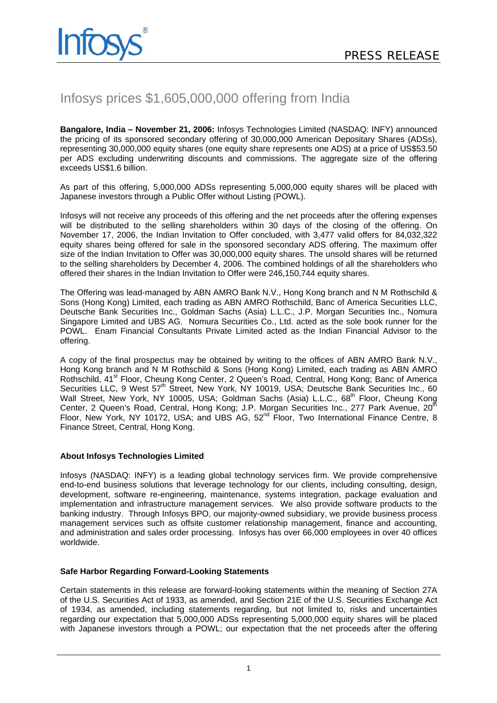

## Infosys prices \$1,605,000,000 offering from India

**Bangalore, India – November 21, 2006:** Infosys Technologies Limited (NASDAQ: INFY) announced the pricing of its sponsored secondary offering of 30,000,000 American Depositary Shares (ADSs), representing 30,000,000 equity shares (one equity share represents one ADS) at a price of US\$53.50 per ADS excluding underwriting discounts and commissions. The aggregate size of the offering exceeds US\$1.6 billion.

As part of this offering, 5,000,000 ADSs representing 5,000,000 equity shares will be placed with Japanese investors through a Public Offer without Listing (POWL).

Infosys will not receive any proceeds of this offering and the net proceeds after the offering expenses will be distributed to the selling shareholders within 30 days of the closing of the offering. On November 17, 2006, the Indian Invitation to Offer concluded, with 3,477 valid offers for 84,032,322 equity shares being offered for sale in the sponsored secondary ADS offering. The maximum offer size of the Indian Invitation to Offer was 30,000,000 equity shares. The unsold shares will be returned to the selling shareholders by December 4, 2006. The combined holdings of all the shareholders who offered their shares in the Indian Invitation to Offer were 246,150,744 equity shares.

The Offering was lead-managed by ABN AMRO Bank N.V., Hong Kong branch and N M Rothschild & Sons (Hong Kong) Limited, each trading as ABN AMRO Rothschild, Banc of America Securities LLC, Deutsche Bank Securities Inc., Goldman Sachs (Asia) L.L.C., J.P. Morgan Securities Inc., Nomura Singapore Limited and UBS AG. Nomura Securities Co., Ltd. acted as the sole book runner for the POWL. Enam Financial Consultants Private Limited acted as the Indian Financial Advisor to the offering.

A copy of the final prospectus may be obtained by writing to the offices of ABN AMRO Bank N.V., Hong Kong branch and N M Rothschild & Sons (Hong Kong) Limited, each trading as ABN AMRO Rothschild, 41<sup>st</sup> Floor, Cheung Kong Center, 2 Queen's Road, Central, Hong Kong; Banc of America Securities LLC, 9 West 57<sup>th</sup> Street, New York, NY 10019, USA; Deutsche Bank Securities Inc., 60 Wall Street, New York, NY 10005, USA; Goldman Sachs (Asia) L.L.C., 68<sup>th</sup> Floor, Cheung Kong Center, 2 Queen's Road, Central, Hong Kong; J.P. Morgan Securities Inc., 277 Park Avenue, 20<sup>th</sup> Floor, New York, NY 10172, USA; and UBS  $AG$ ,  $52<sup>nd</sup>$  Floor, Two International Finance Centre, 8 Finance Street, Central, Hong Kong.

## **About Infosys Technologies Limited**

Infosys (NASDAQ: INFY) is a leading global technology services firm. We provide comprehensive end-to-end business solutions that leverage technology for our clients, including consulting, design, development, software re-engineering, maintenance, systems integration, package evaluation and implementation and infrastructure management services. We also provide software products to the banking industry. Through Infosys BPO, our majority-owned subsidiary, we provide business process management services such as offsite customer relationship management, finance and accounting, and administration and sales order processing. Infosys has over 66,000 employees in over 40 offices worldwide.

## **Safe Harbor Regarding Forward-Looking Statements**

Certain statements in this release are forward-looking statements within the meaning of Section 27A of the U.S. Securities Act of 1933, as amended, and Section 21E of the U.S. Securities Exchange Act of 1934, as amended, including statements regarding, but not limited to, risks and uncertainties regarding our expectation that 5,000,000 ADSs representing 5,000,000 equity shares will be placed with Japanese investors through a POWL; our expectation that the net proceeds after the offering